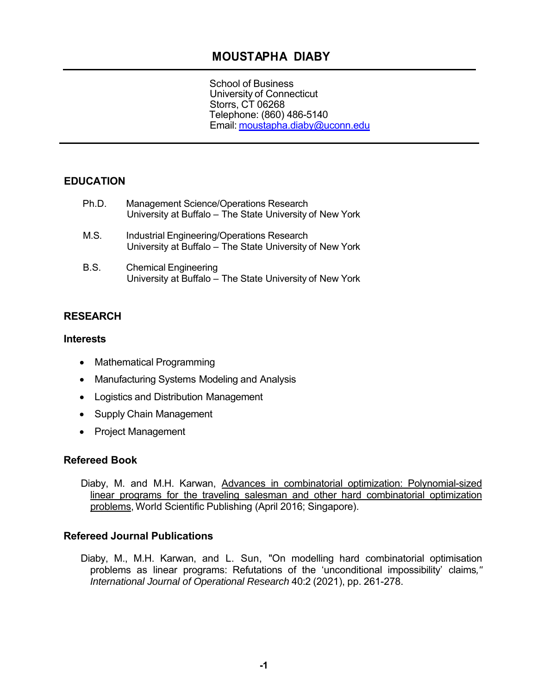# **MOUSTAPHA DIABY**

School of Business University of Connecticut Storrs, CT 06268 Telephone: (860) 486-5140 Email: moustapha.diaby@uconn.edu

## **EDUCATION**

| Ph.D.       | <b>Management Science/Operations Research</b><br>University at Buffalo – The State University of New York     |
|-------------|---------------------------------------------------------------------------------------------------------------|
| M.S.        | <b>Industrial Engineering/Operations Research</b><br>University at Buffalo – The State University of New York |
| <b>B.S.</b> | <b>Chemical Engineering</b><br>University at Buffalo - The State University of New York                       |

### **RESEARCH**

#### **Interests**

- Mathematical Programming
- Manufacturing Systems Modeling and Analysis
- Logistics and Distribution Management
- Supply Chain Management
- Project Management

### **Refereed Book**

Diaby, M. and M.H. Karwan, Advances in combinatorial optimization: Polynomial-sized linear programs for the traveling salesman and other hard combinatorial optimization problems, World Scientific Publishing (April 2016; Singapore).

### **Refereed Journal Publications**

Diaby, M., M.H. Karwan, and L. Sun, "On modelling hard combinatorial optimisation problems as linear programs: Refutations of the 'unconditional impossibility' claims*," International Journal of Operational Research* 40:2 (2021), pp. 261-278.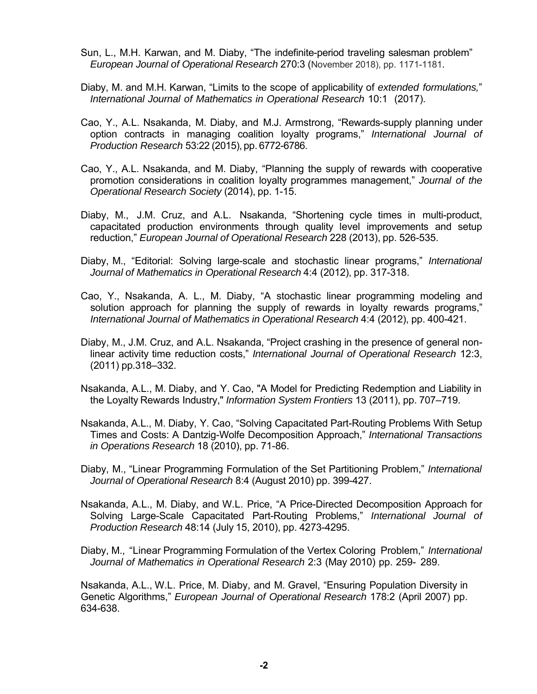- Sun, L., M.H. Karwan, and M. Diaby, "The indefinite-period traveling salesman problem" *European Journal of Operational Research* 270:3 (November 2018), pp. 1171-1181.
- Diaby, M. and M.H. Karwan, "Limits to the scope of applicability of *extended formulations,*" *International Journal of Mathematics in Operational Research* 10:1 (2017).
- Cao, Y., A.L. Nsakanda, M. Diaby, and M.J. Armstrong, "Rewards-supply planning under option contracts in managing coalition loyalty programs," *International Journal of Production Research* 53:22 (2015), pp. 6772-6786.
- Cao, Y., A.L. Nsakanda, and M. Diaby, "Planning the supply of rewards with cooperative promotion considerations in coalition loyalty programmes management," *Journal of the Operational Research Society* (2014), pp. 1-15.
- Diaby, M., J.M. Cruz, and A.L. Nsakanda, "Shortening cycle times in multi-product, capacitated production environments through quality level improvements and setup reduction," *European Journal of Operational Research* 228 (2013), pp. 526-535.
- Diaby, M., "Editorial: Solving large-scale and stochastic linear programs," *International Journal of Mathematics in Operational Research* 4:4 (2012), pp. 317-318.
- Cao, Y., Nsakanda, A. L., M. Diaby, "A stochastic linear programming modeling and solution approach for planning the supply of rewards in loyalty rewards programs," *International Journal of Mathematics in Operational Research* 4:4 (2012), pp. 400-421.
- Diaby, M., J.M. Cruz, and A.L. Nsakanda, "Project crashing in the presence of general nonlinear activity time reduction costs," *International Journal of Operational Research* 12:3, (2011) pp.318–332.
- Nsakanda, A.L., M. Diaby, and Y. Cao, "A Model for Predicting Redemption and Liability in the Loyalty Rewards Industry," *Information System Frontiers* 13 (2011), pp. 707–719.
- Nsakanda, A.L., M. Diaby, Y. Cao, "Solving Capacitated Part-Routing Problems With Setup Times and Costs: A Dantzig-Wolfe Decomposition Approach," *International Transactions in Operations Research* 18 (2010), pp. 71-86.
- Diaby, M., "Linear Programming Formulation of the Set Partitioning Problem," *International Journal of Operational Research* 8:4 (August 2010) pp. 399-427.
- Nsakanda, A.L., M. Diaby, and W.L. Price, "A Price-Directed Decomposition Approach for Solving Large-Scale Capacitated Part-Routing Problems," *International Journal of Production Research* 48:14 (July 15, 2010), pp. 4273-4295.
- Diaby, M., "Linear Programming Formulation of the Vertex Coloring Problem," *International Journal of Mathematics in Operational Research* 2:3 (May 2010) pp. 259- 289.

Nsakanda, A.L., W.L. Price, M. Diaby, and M. Gravel, "Ensuring Population Diversity in Genetic Algorithms," *European Journal of Operational Research* 178:2 (April 2007) pp. 634-638.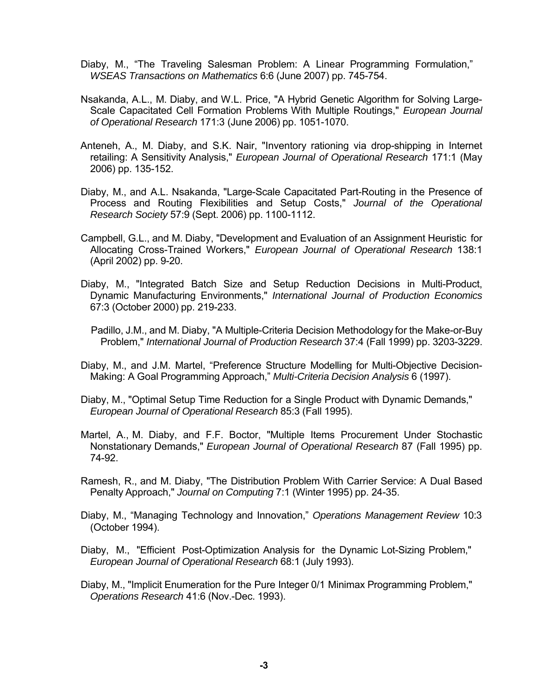- Diaby, M., "The Traveling Salesman Problem: A Linear Programming Formulation," *WSEAS Transactions on Mathematics* 6:6 (June 2007) pp. 745-754.
- Nsakanda, A.L., M. Diaby, and W.L. Price, "A Hybrid Genetic Algorithm for Solving Large-Scale Capacitated Cell Formation Problems With Multiple Routings," *European Journal of Operational Research* 171:3 (June 2006) pp. 1051-1070.
- Anteneh, A., M. Diaby, and S.K. Nair, "Inventory rationing via drop-shipping in Internet retailing: A Sensitivity Analysis," *European Journal of Operational Research* 171:1 (May 2006) pp. 135-152.
- Diaby, M., and A.L. Nsakanda, "Large-Scale Capacitated Part-Routing in the Presence of Process and Routing Flexibilities and Setup Costs," *Journal of the Operational Research Society* 57:9 (Sept. 2006) pp. 1100-1112.
- Campbell, G.L., and M. Diaby, "Development and Evaluation of an Assignment Heuristic for Allocating Cross-Trained Workers," *European Journal of Operational Research* 138:1 (April 2002) pp. 9-20.
- Diaby, M., "Integrated Batch Size and Setup Reduction Decisions in Multi-Product, Dynamic Manufacturing Environments," *International Journal of Production Economics*  67:3 (October 2000) pp. 219-233.
	- Padillo, J.M., and M. Diaby, "A Multiple-Criteria Decision Methodology for the Make-or-Buy Problem," *International Journal of Production Research* 37:4 (Fall 1999) pp. 3203-3229.
- Diaby, M., and J.M. Martel, "Preference Structure Modelling for Multi-Objective Decision-Making: A Goal Programming Approach," *Multi-Criteria Decision Analysis* 6 (1997).
- Diaby, M., "Optimal Setup Time Reduction for a Single Product with Dynamic Demands," *European Journal of Operational Research* 85:3 (Fall 1995).
- Martel, A., M. Diaby, and F.F. Boctor, "Multiple Items Procurement Under Stochastic Nonstationary Demands," *European Journal of Operational Research* 87 (Fall 1995) pp. 74-92.
- Ramesh, R., and M. Diaby, "The Distribution Problem With Carrier Service: A Dual Based Penalty Approach," *Journal on Computing* 7:1 (Winter 1995) pp. 24-35.
- Diaby, M., "Managing Technology and Innovation," *Operations Management Review* 10:3 (October 1994).
- Diaby, M., "Efficient Post-Optimization Analysis for the Dynamic Lot-Sizing Problem," *European Journal of Operational Research* 68:1 (July 1993).
- Diaby, M., "Implicit Enumeration for the Pure Integer 0/1 Minimax Programming Problem," *Operations Research* 41:6 (Nov.-Dec. 1993).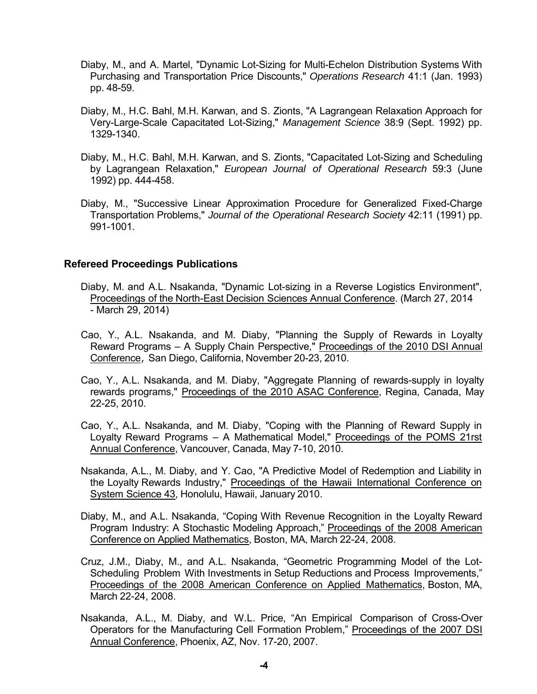- Diaby, M., and A. Martel, "Dynamic Lot-Sizing for Multi-Echelon Distribution Systems With Purchasing and Transportation Price Discounts," *Operations Research* 41:1 (Jan. 1993) pp. 48-59.
- Diaby, M., H.C. Bahl, M.H. Karwan, and S. Zionts, "A Lagrangean Relaxation Approach for Very-Large-Scale Capacitated Lot-Sizing," *Management Science* 38:9 (Sept. 1992) pp. 1329-1340.
- Diaby, M., H.C. Bahl, M.H. Karwan, and S. Zionts, "Capacitated Lot-Sizing and Scheduling by Lagrangean Relaxation," *European Journal of Operational Research* 59:3 (June 1992) pp. 444-458.
- Diaby, M., "Successive Linear Approximation Procedure for Generalized Fixed-Charge Transportation Problems," *Journal of the Operational Research Society* 42:11 (1991) pp. 991-1001.

#### **Refereed Proceedings Publications**

- Diaby, M. and A.L. Nsakanda, "Dynamic Lot-sizing in a Reverse Logistics Environment", Proceedings of the North-East Decision Sciences Annual Conference. (March 27, 2014 - March 29, 2014)
- Cao, Y., A.L. Nsakanda, and M. Diaby, "Planning the Supply of Rewards in Loyalty Reward Programs – A Supply Chain Perspective," Proceedings of the 2010 DSI Annual Conference, San Diego, California, November 20-23, 2010.
- Cao, Y., A.L. Nsakanda, and M. Diaby, "Aggregate Planning of rewards-supply in loyalty rewards programs," Proceedings of the 2010 ASAC Conference, Regina, Canada, May 22-25, 2010.
- Cao, Y., A.L. Nsakanda, and M. Diaby, "Coping with the Planning of Reward Supply in Loyalty Reward Programs – A Mathematical Model," Proceedings of the POMS 21rst Annual Conference, Vancouver, Canada, May 7-10, 2010.
- Nsakanda, A.L., M. Diaby, and Y. Cao, "A Predictive Model of Redemption and Liability in the Loyalty Rewards Industry," Proceedings of the Hawaii International Conference on System Science 43, Honolulu, Hawaii, January 2010.
- Diaby, M., and A.L. Nsakanda, "Coping With Revenue Recognition in the Loyalty Reward Program Industry: A Stochastic Modeling Approach," Proceedings of the 2008 American Conference on Applied Mathematics, Boston, MA, March 22-24, 2008.
- Cruz, J.M., Diaby, M., and A.L. Nsakanda, "Geometric Programming Model of the Lot-Scheduling Problem With Investments in Setup Reductions and Process Improvements," Proceedings of the 2008 American Conference on Applied Mathematics, Boston, MA, March 22-24, 2008.
- Nsakanda, A.L., M. Diaby, and W.L. Price, "An Empirical Comparison of Cross-Over Operators for the Manufacturing Cell Formation Problem," Proceedings of the 2007 DSI Annual Conference, Phoenix, AZ, Nov. 17-20, 2007.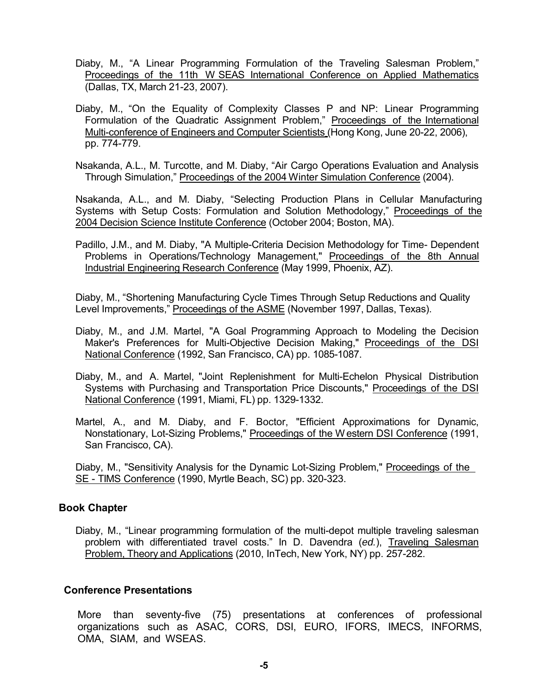- Diaby, M., "A Linear Programming Formulation of the Traveling Salesman Problem," Proceedings of the 11th W SEAS International Conference on Applied Mathematics (Dallas, TX, March 21-23, 2007).
- Diaby, M., "On the Equality of Complexity Classes P and NP: Linear Programming Formulation of the Quadratic Assignment Problem," Proceedings of the International Multi-conference of Engineers and Computer Scientists (Hong Kong, June 20-22, 2006), pp. 774-779.
- Nsakanda, A.L., M. Turcotte, and M. Diaby, "Air Cargo Operations Evaluation and Analysis Through Simulation," Proceedings of the 2004 W inter Simulation Conference (2004).

Nsakanda, A.L., and M. Diaby, "Selecting Production Plans in Cellular Manufacturing Systems with Setup Costs: Formulation and Solution Methodology," Proceedings of the 2004 Decision Science Institute Conference (October 2004; Boston, MA).

Padillo, J.M., and M. Diaby, "A Multiple-Criteria Decision Methodology for Time- Dependent Problems in Operations/Technology Management," Proceedings of the 8th Annual Industrial Engineering Research Conference (May 1999, Phoenix, AZ).

Diaby, M., "Shortening Manufacturing Cycle Times Through Setup Reductions and Quality Level Improvements," Proceedings of the ASME (November 1997, Dallas, Texas).

- Diaby, M., and J.M. Martel, "A Goal Programming Approach to Modeling the Decision Maker's Preferences for Multi-Objective Decision Making," Proceedings of the DSI National Conference (1992, San Francisco, CA) pp. 1085-1087.
- Diaby, M., and A. Martel, "Joint Replenishment for Multi-Echelon Physical Distribution Systems with Purchasing and Transportation Price Discounts," Proceedings of the DSI National Conference (1991, Miami, FL) pp. 1329-1332.
- Martel, A., and M. Diaby, and F. Boctor, "Efficient Approximations for Dynamic, Nonstationary, Lot-Sizing Problems," Proceedings of the W estern DSI Conference (1991, San Francisco, CA).

Diaby, M., "Sensitivity Analysis for the Dynamic Lot-Sizing Problem," Proceedings of the SE - TIMS Conference (1990, Myrtle Beach, SC) pp. 320-323.

### **Book Chapter**

Diaby, M., "Linear programming formulation of the multi-depot multiple traveling salesman problem with differentiated travel costs." In D. Davendra (*ed.*), Traveling Salesman Problem, Theory and Applications (2010, InTech, New York, NY) pp. 257-282.

#### **Conference Presentations**

More than seventy-five (75) presentations at conferences of professional organizations such as ASAC, CORS, DSI, EURO, IFORS, IMECS, INFORMS, OMA, SIAM, and WSEAS.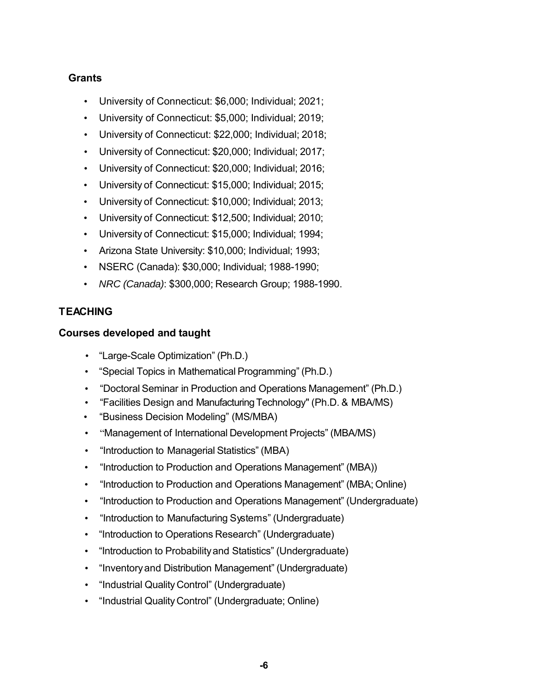# **Grants**

- University of Connecticut: \$6,000; Individual; 2021;
- University of Connecticut: \$5,000; Individual; 2019;
- University of Connecticut: \$22,000; Individual; 2018;
- University of Connecticut: \$20,000; Individual; 2017;
- University of Connecticut: \$20,000; Individual; 2016;
- University of Connecticut: \$15,000; Individual; 2015;
- University of Connecticut: \$10,000; Individual; 2013;
- University of Connecticut: \$12,500; Individual; 2010;
- University of Connecticut: \$15,000; Individual; 1994;
- Arizona State University: \$10,000; Individual; 1993;
- NSERC (Canada): \$30,000; Individual; 1988-1990;
- *NRC (Canada)*: \$300,000; Research Group; 1988-1990.

# **TEACHING**

## **Courses developed and taught**

- "Large-Scale Optimization" (Ph.D.)
- "Special Topics in Mathematical Programming" (Ph.D.)
- "Doctoral Seminar in Production and Operations Management" (Ph.D.)
- "Facilities Design and Manufacturing Technology" (Ph.D. & MBA/MS)
- "Business Decision Modeling" (MS/MBA)
- "Management of International Development Projects" (MBA/MS)
- "Introduction to Managerial Statistics" (MBA)
- "Introduction to Production and Operations Management" (MBA))
- "Introduction to Production and Operations Management" (MBA; Online)
- "Introduction to Production and Operations Management" (Undergraduate)
- "Introduction to Manufacturing Systems" (Undergraduate)
- "Introduction to Operations Research" (Undergraduate)
- "Introduction to Probability and Statistics" (Undergraduate)
- "Inventory and Distribution Management" (Undergraduate)
- "Industrial Quality Control" (Undergraduate)
- "Industrial Quality Control" (Undergraduate; Online)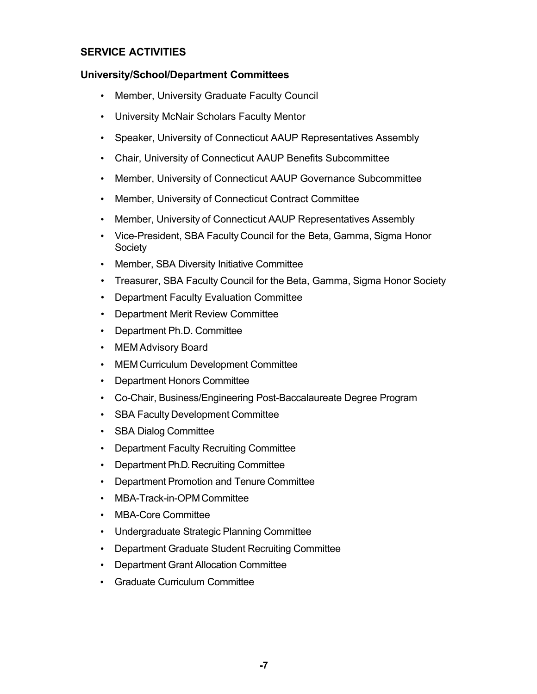# **SERVICE ACTIVITIES**

### **University/School/Department Committees**

- Member, University Graduate Faculty Council
- University McNair Scholars Faculty Mentor
- Speaker, University of Connecticut AAUP Representatives Assembly
- Chair, University of Connecticut AAUP Benefits Subcommittee
- Member, University of Connecticut AAUP Governance Subcommittee
- Member, University of Connecticut Contract Committee
- Member, University of Connecticut AAUP Representatives Assembly
- Vice-President, SBA Faculty Council for the Beta, Gamma, Sigma Honor **Society**
- Member, SBA Diversity Initiative Committee
- Treasurer, SBA Faculty Council for the Beta, Gamma, Sigma Honor Society
- Department Faculty Evaluation Committee
- Department Merit Review Committee
- Department Ph.D. Committee
- MEM Advisory Board
- MEM Curriculum Development Committee
- Department Honors Committee
- Co-Chair, Business/Engineering Post-Baccalaureate Degree Program
- SBA Faculty Development Committee
- SBA Dialog Committee
- Department Faculty Recruiting Committee
- Department Ph.D. Recruiting Committee
- Department Promotion and Tenure Committee
- MBA-Track-in-OPM Committee
- MBA-Core Committee
- Undergraduate Strategic Planning Committee
- Department Graduate Student Recruiting Committee
- Department Grant Allocation Committee
- Graduate Curriculum Committee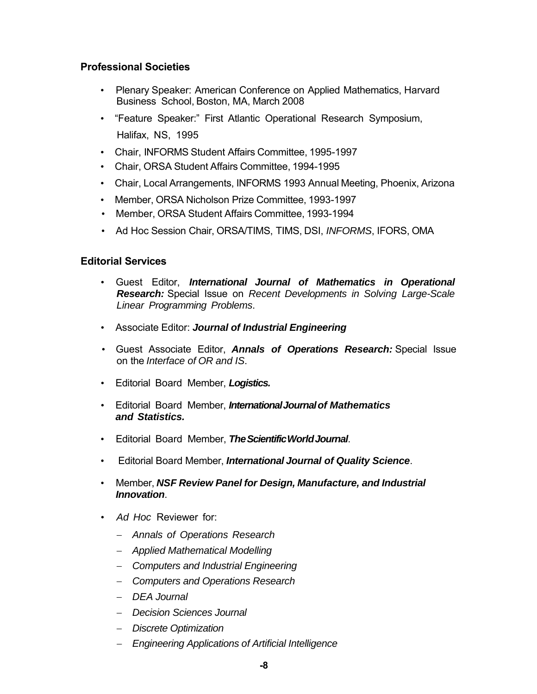## **Professional Societies**

- Plenary Speaker: American Conference on Applied Mathematics, Harvard Business School, Boston, MA, March 2008
- "Feature Speaker:" First Atlantic Operational Research Symposium, Halifax, NS, 1995
- Chair, INFORMS Student Affairs Committee, 1995-1997
- Chair, ORSA Student Affairs Committee, 1994-1995
- Chair, Local Arrangements, INFORMS 1993 Annual Meeting, Phoenix, Arizona
- Member, ORSA Nicholson Prize Committee, 1993-1997
- Member, ORSA Student Affairs Committee, 1993-1994
- Ad Hoc Session Chair, ORSA/TIMS, TIMS, DSI, *INFORMS*, IFORS, OMA

## **Editorial Services**

- Guest Editor, *International Journal of Mathematics in Operational Research:* Special Issue on *Recent Developments in Solving Large-Scale Linear Programming Problems*.
- Associate Editor: *Journal of Industrial Engineering*
- Guest Associate Editor, *Annals of Operations Research:* Special Issue on the *Interface of OR and IS*.
- Editorial Board Member, *Logistics.*
- Editorial Board Member, *International Journal of Mathematics and Statistics.*
- Editorial Board Member, *The Scientific World Journal*.
- Editorial Board Member, *International Journal of Quality Science*.
- Member, *NSF Review Panel for Design, Manufacture, and Industrial Innovation*.
- *Ad Hoc* Reviewer for:
	- *Annals of Operations Research*
	- *Applied Mathematical Modelling*
	- *Computers and Industrial Engineering*
	- *Computers and Operations Research*
	- *DEA Journal*
	- *Decision Sciences Journal*
	- *Discrete Optimization*
	- *Engineering Applications of Artificial Intelligence*